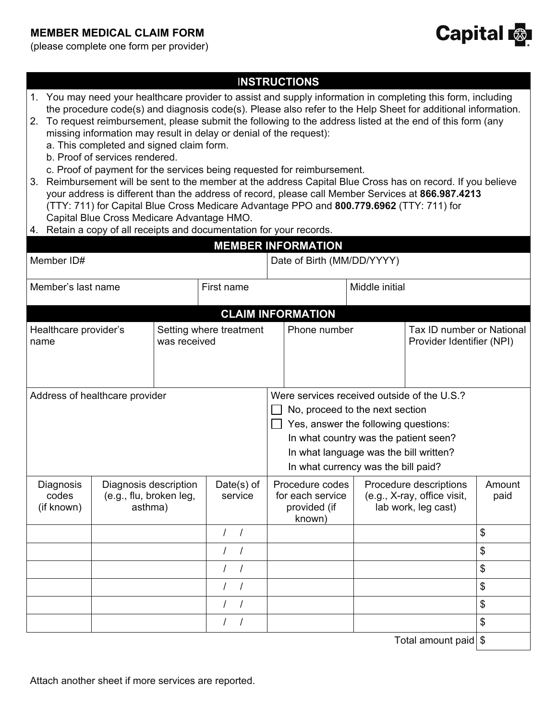## **MEMBER MEDICAL CLAIM FORM**



(please complete one form per provider)

| 3.                               |                                  | missing information may result in delay or denial of the request):<br>a. This completed and signed claim form.<br>b. Proof of services rendered.<br>Capital Blue Cross Medicare Advantage HMO.<br>4. Retain a copy of all receipts and documentation for your records. |                                                                                                                   |                |                       | <b>INSTRUCTIONS</b><br>c. Proof of payment for the services being requested for reimbursement.<br>(TTY: 711) for Capital Blue Cross Medicare Advantage PPO and 800.779.6962 (TTY: 711) for<br><b>MEMBER INFORMATION</b>                          |  | 1. You may need your healthcare provider to assist and supply information in completing this form, including<br>the procedure code(s) and diagnosis code(s). Please also refer to the Help Sheet for additional information.<br>2. To request reimbursement, please submit the following to the address listed at the end of this form (any<br>Reimbursement will be sent to the member at the address Capital Blue Cross has on record. If you believe<br>your address is different than the address of record, please call Member Services at 866.987.4213 |                |
|----------------------------------|----------------------------------|------------------------------------------------------------------------------------------------------------------------------------------------------------------------------------------------------------------------------------------------------------------------|-------------------------------------------------------------------------------------------------------------------|----------------|-----------------------|--------------------------------------------------------------------------------------------------------------------------------------------------------------------------------------------------------------------------------------------------|--|--------------------------------------------------------------------------------------------------------------------------------------------------------------------------------------------------------------------------------------------------------------------------------------------------------------------------------------------------------------------------------------------------------------------------------------------------------------------------------------------------------------------------------------------------------------|----------------|
|                                  | Member ID#                       |                                                                                                                                                                                                                                                                        |                                                                                                                   |                |                       | Date of Birth (MM/DD/YYYY)                                                                                                                                                                                                                       |  |                                                                                                                                                                                                                                                                                                                                                                                                                                                                                                                                                              |                |
| Member's last name<br>First name |                                  |                                                                                                                                                                                                                                                                        |                                                                                                                   | Middle initial |                       |                                                                                                                                                                                                                                                  |  |                                                                                                                                                                                                                                                                                                                                                                                                                                                                                                                                                              |                |
|                                  |                                  |                                                                                                                                                                                                                                                                        |                                                                                                                   |                |                       | <b>CLAIM INFORMATION</b>                                                                                                                                                                                                                         |  |                                                                                                                                                                                                                                                                                                                                                                                                                                                                                                                                                              |                |
| name                             | Healthcare provider's            |                                                                                                                                                                                                                                                                        | Tax ID number or National<br>Setting where treatment<br>Phone number<br>was received<br>Provider Identifier (NPI) |                |                       |                                                                                                                                                                                                                                                  |  |                                                                                                                                                                                                                                                                                                                                                                                                                                                                                                                                                              |                |
|                                  |                                  | Address of healthcare provider                                                                                                                                                                                                                                         |                                                                                                                   |                |                       | Were services received outside of the U.S.?<br>No, proceed to the next section<br>Yes, answer the following questions:<br>In what country was the patient seen?<br>In what language was the bill written?<br>In what currency was the bill paid? |  |                                                                                                                                                                                                                                                                                                                                                                                                                                                                                                                                                              |                |
|                                  | Diagnosis<br>codes<br>(if known) | Diagnosis description<br>(e.g., flu, broken leg,<br>asthma)                                                                                                                                                                                                            |                                                                                                                   |                | Date(s) of<br>service | Procedure codes<br>for each service<br>provided (if<br>known)                                                                                                                                                                                    |  | Procedure descriptions<br>(e.g., X-ray, office visit,<br>lab work, leg cast)                                                                                                                                                                                                                                                                                                                                                                                                                                                                                 | Amount<br>paid |
|                                  |                                  |                                                                                                                                                                                                                                                                        |                                                                                                                   | $\prime$       | $\sqrt{ }$            |                                                                                                                                                                                                                                                  |  |                                                                                                                                                                                                                                                                                                                                                                                                                                                                                                                                                              | \$             |
|                                  |                                  |                                                                                                                                                                                                                                                                        |                                                                                                                   | $\prime$       | $\prime$              |                                                                                                                                                                                                                                                  |  |                                                                                                                                                                                                                                                                                                                                                                                                                                                                                                                                                              | \$             |
|                                  |                                  |                                                                                                                                                                                                                                                                        |                                                                                                                   | $\prime$       |                       |                                                                                                                                                                                                                                                  |  |                                                                                                                                                                                                                                                                                                                                                                                                                                                                                                                                                              | \$             |
|                                  |                                  |                                                                                                                                                                                                                                                                        |                                                                                                                   | $\prime$       | $\prime$              |                                                                                                                                                                                                                                                  |  |                                                                                                                                                                                                                                                                                                                                                                                                                                                                                                                                                              | \$             |
|                                  |                                  |                                                                                                                                                                                                                                                                        |                                                                                                                   |                |                       |                                                                                                                                                                                                                                                  |  |                                                                                                                                                                                                                                                                                                                                                                                                                                                                                                                                                              | \$             |
|                                  |                                  |                                                                                                                                                                                                                                                                        |                                                                                                                   | $\prime$       |                       |                                                                                                                                                                                                                                                  |  |                                                                                                                                                                                                                                                                                                                                                                                                                                                                                                                                                              | \$             |
|                                  |                                  |                                                                                                                                                                                                                                                                        |                                                                                                                   |                |                       |                                                                                                                                                                                                                                                  |  | Total amount paid \$                                                                                                                                                                                                                                                                                                                                                                                                                                                                                                                                         |                |

Attach another sheet if more services are reported.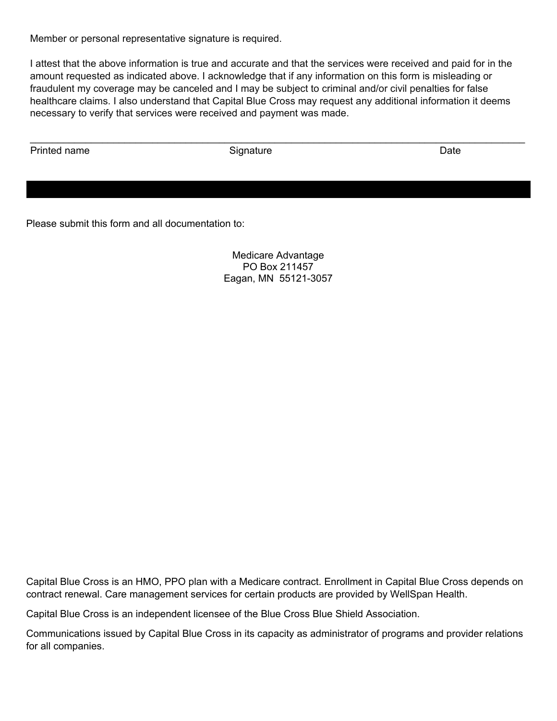Member or personal representative signature is required.

I attest that the above information is true and accurate and that the services were received and paid for in the amount requested as indicated above. I acknowledge that if any information on this form is misleading or fraudulent my coverage may be canceled and I may be subject to criminal and/or civil penalties for false healthcare claims. I also understand that Capital Blue Cross may request any additional information it deems necessary to verify that services were received and payment was made.

 $\_$  , and the set of the set of the set of the set of the set of the set of the set of the set of the set of the set of the set of the set of the set of the set of the set of the set of the set of the set of the set of th

Printed name **Signature Contract Signature Contract Contract Contract Contract Contract Contract Contract Contract Contract Contract Contract Contract Contract Contract Contract Contract Contract Contract Contract Cont** 

Please submit this form and all documentation to:

Medicare Advantage PO Box 211457 Eagan, MN 55121-3057

Capital Blue Cross is an HMO, PPO plan with a Medicare contract. Enrollment in Capital Blue Cross depends on contract renewal. Care management services for certain products are provided by WellSpan Health.

Capital Blue Cross is an independent licensee of the Blue Cross Blue Shield Association.

Communications issued by Capital Blue Cross in its capacity as administrator of programs and provider relations for all companies.